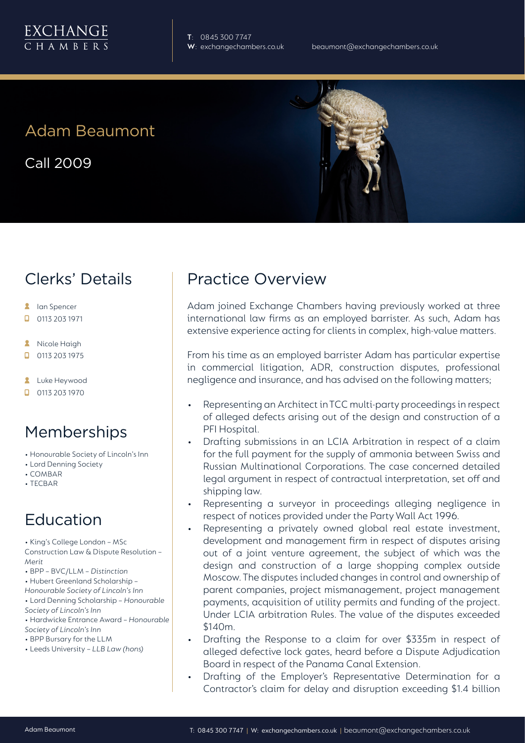

**T**: 0845 300 7747

# Adam Beaumont

Call 2009



- **A** lan Spencer
- $\Box$ 0113 203 1971
- Nicole Haigh  $\mathbf{z}$
- $\Box$ 0113 203 1975
- **2** Luke Heywood
- $\Box$  0113 203 1970

#### Memberships

- Honourable Society of Lincoln's Inn
- Lord Denning Society
- COMBAR
- TECBAR

#### Education

• King's College London – MSc Construction Law & Dispute Resolution – *Merit*

- BPP BVC/LLM *Distinction*
- Hubert Greenland Scholarship –

*Honourable Society of Lincoln's Inn* • Lord Denning Scholarship – *Honourable* 

- *Society of Lincoln's Inn* • Hardwicke Entrance Award – *Honourable Society of Lincoln's Inn*
- BPP Bursary for the LLM
- Leeds University *LLB Law (hons)*

# Practice Overview

Adam joined Exchange Chambers having previously worked at three international law firms as an employed barrister. As such, Adam has extensive experience acting for clients in complex, high-value matters.

From his time as an employed barrister Adam has particular expertise in commercial litigation, ADR, construction disputes, professional negligence and insurance, and has advised on the following matters;

- Representing an Architect in TCC multi-party proceedings in respect of alleged defects arising out of the design and construction of a PFI Hospital.
- Drafting submissions in an LCIA Arbitration in respect of a claim for the full payment for the supply of ammonia between Swiss and Russian Multinational Corporations. The case concerned detailed legal argument in respect of contractual interpretation, set off and shipping law.
- Representing a surveyor in proceedings alleging negligence in respect of notices provided under the Party Wall Act 1996.
- Representing a privately owned global real estate investment, development and management firm in respect of disputes arising out of a joint venture agreement, the subject of which was the design and construction of a large shopping complex outside Moscow. The disputes included changes in control and ownership of parent companies, project mismanagement, project management payments, acquisition of utility permits and funding of the project. Under LCIA arbitration Rules. The value of the disputes exceeded \$140m.
- Drafting the Response to a claim for over \$335m in respect of alleged defective lock gates, heard before a Dispute Adjudication Board in respect of the Panama Canal Extension.
- Drafting of the Employer's Representative Determination for a Contractor's claim for delay and disruption exceeding \$1.4 billion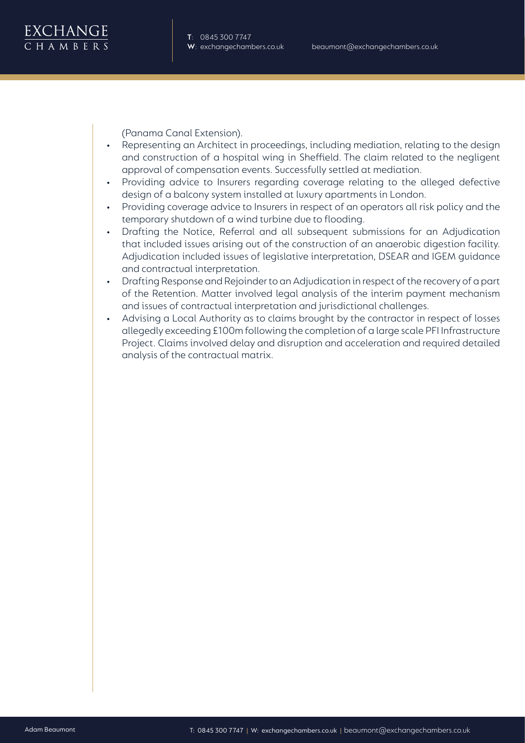

(Panama Canal Extension).

- Representing an Architect in proceedings, including mediation, relating to the design and construction of a hospital wing in Sheffield. The claim related to the negligent approval of compensation events. Successfully settled at mediation.
- Providing advice to Insurers regarding coverage relating to the alleged defective design of a balcony system installed at luxury apartments in London.
- Providing coverage advice to Insurers in respect of an operators all risk policy and the temporary shutdown of a wind turbine due to flooding.
- Drafting the Notice, Referral and all subsequent submissions for an Adjudication that included issues arising out of the construction of an anaerobic digestion facility. Adjudication included issues of legislative interpretation, DSEAR and IGEM guidance and contractual interpretation.
- Drafting Response and Rejoinder to an Adjudication in respect of the recovery of a part of the Retention. Matter involved legal analysis of the interim payment mechanism and issues of contractual interpretation and jurisdictional challenges.
- Advising a Local Authority as to claims brought by the contractor in respect of losses allegedly exceeding £100m following the completion of a large scale PFI Infrastructure Project. Claims involved delay and disruption and acceleration and required detailed analysis of the contractual matrix.